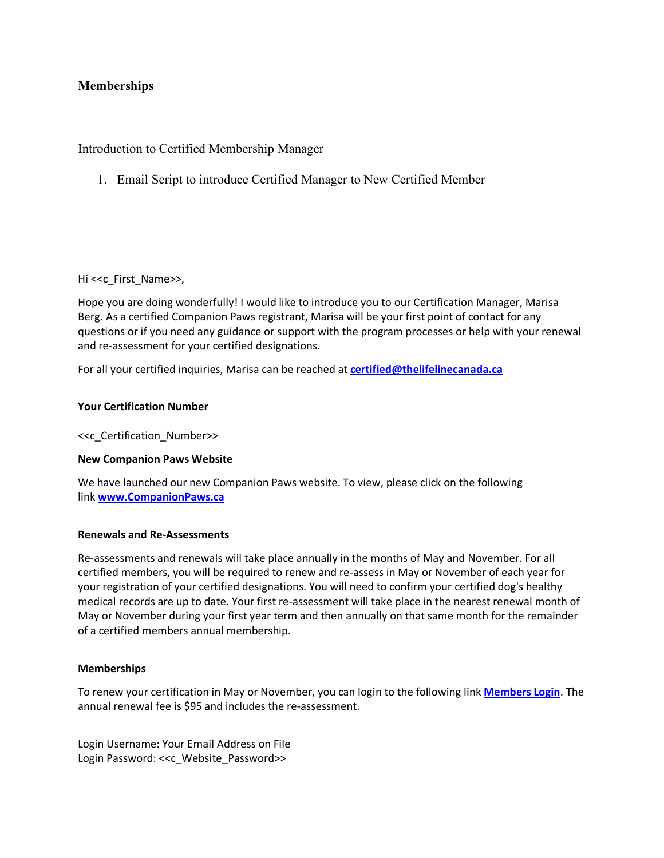# **Memberships**

# Introduction to Certified Membership Manager

1. Email Script to introduce Certified Manager to New Certified Member

Hi <<c First\_Name>>,

Hope you are doing wonderfully! I would like to introduce you to our Certification Manager, Marisa Berg. As a certified Companion Paws registrant, Marisa will be your first point of contact for any questions or if you need any guidance or support with the program processes or help with your renewal and re-assessment for your certified designations.

For all your certified inquiries, Marisa can be reached at **certified@thelifelinecanada.ca**

#### **Your Certification Number**

<<c\_Certification\_Number>>

#### **New Companion Paws Website**

We have launched our new Companion Paws website. To view, please click on the following link **www.CompanionPaws.ca**

#### **Renewals and Re-Assessments**

Re-assessments and renewals will take place annually in the months of May and November. For all certified members, you will be required to renew and re-assess in May or November of each year for your registration of your certified designations. You will need to confirm your certified dog's healthy medical records are up to date. Your first re-assessment will take place in the nearest renewal month of May or November during your first year term and then annually on that same month for the remainder of a certified members annual membership.

#### **Memberships**

To renew your certification in May or November, you can login to the following link **Members Login**. The annual renewal fee is \$95 and includes the re-assessment.

Login Username: Your Email Address on File Login Password: <<c Website Password>>